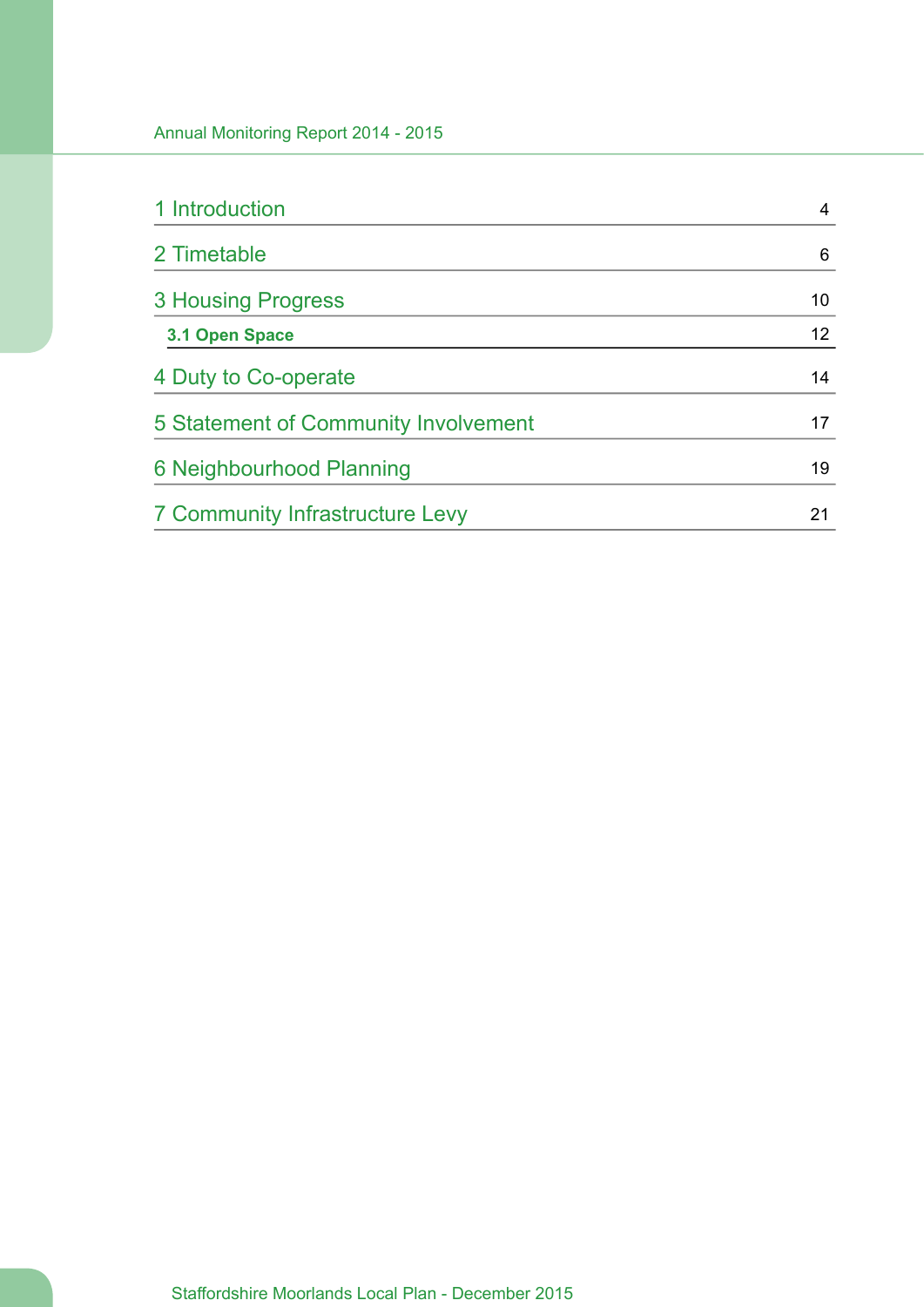| 1 Introduction                       | 4               |
|--------------------------------------|-----------------|
| 2 Timetable                          | 6               |
| <b>3 Housing Progress</b>            | 10              |
| 3.1 Open Space                       | 12 <sup>2</sup> |
| 4 Duty to Co-operate                 | 14              |
| 5 Statement of Community Involvement | 17              |
| 6 Neighbourhood Planning             | 19              |
| 7 Community Infrastructure Levy      | 21              |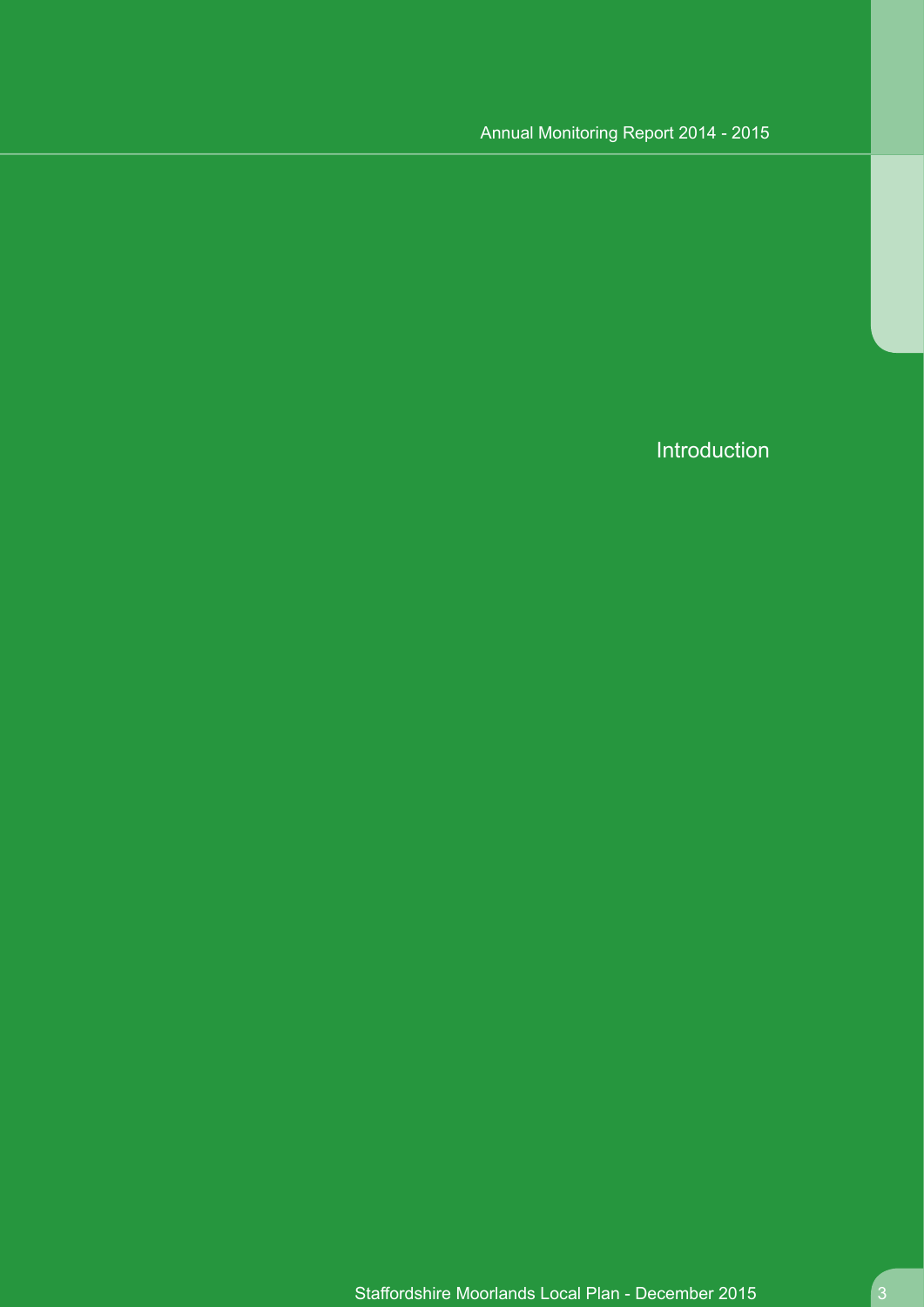Introduction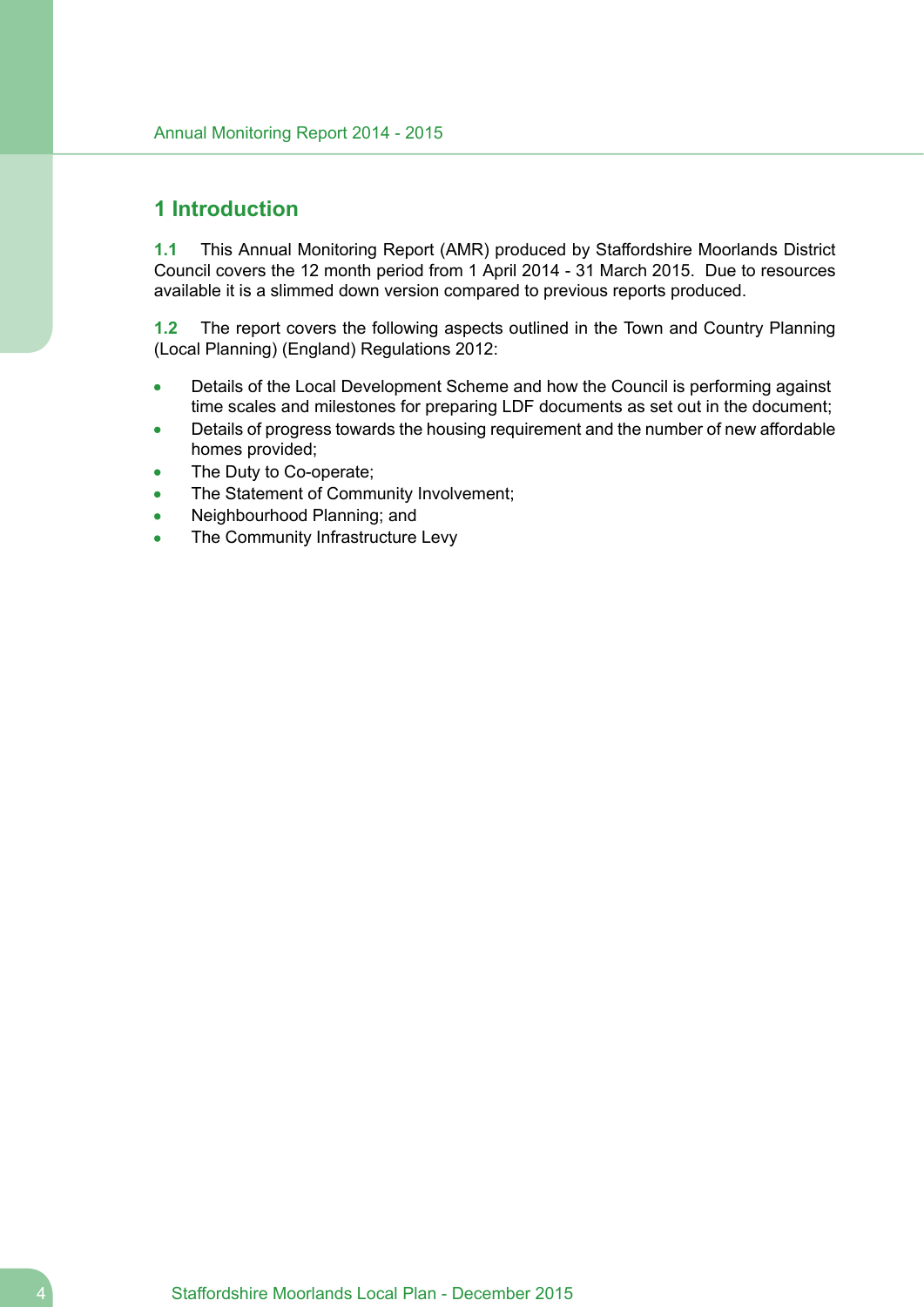### <span id="page-3-0"></span>**1 Introduction**

**1.1** This Annual Monitoring Report (AMR) produced by Staffordshire Moorlands District Council covers the 12 month period from 1 April 2014 - 31 March 2015. Due to resources available it is a slimmed down version compared to previous reports produced.

**1.2** The report covers the following aspects outlined in the Town and Country Planning (Local Planning) (England) Regulations 2012:

- Details of the Local Development Scheme and how the Council is performing against  $\bullet$ time scales and milestones for preparing LDF documents as set out in the document;
- Details of progress towards the housing requirement and the number of new affordable homes provided;
- The Duty to Co-operate;
- The Statement of Community Involvement;
- Neighbourhood Planning; and
- The Community Infrastructure Levy  $\bullet$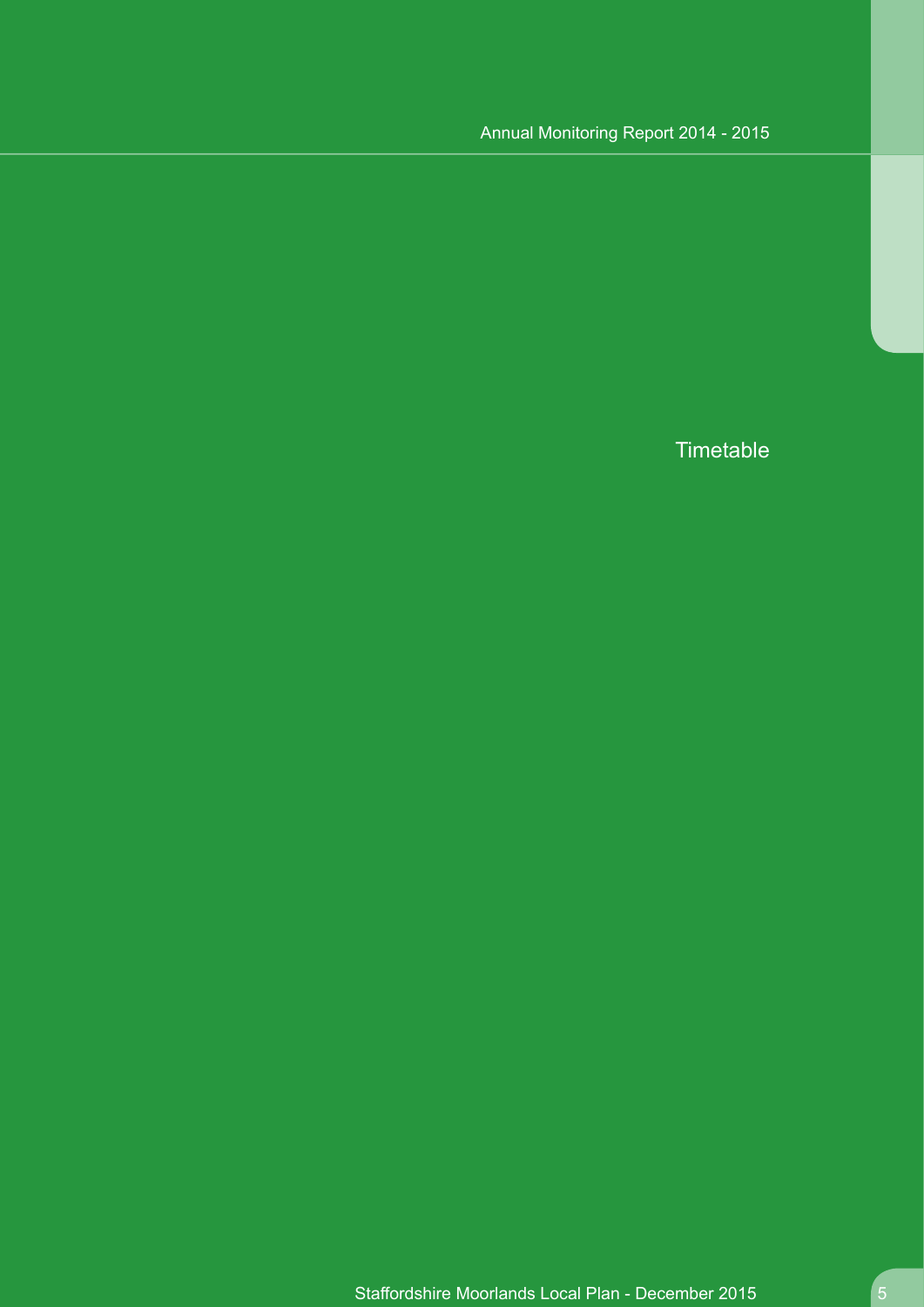**Timetable**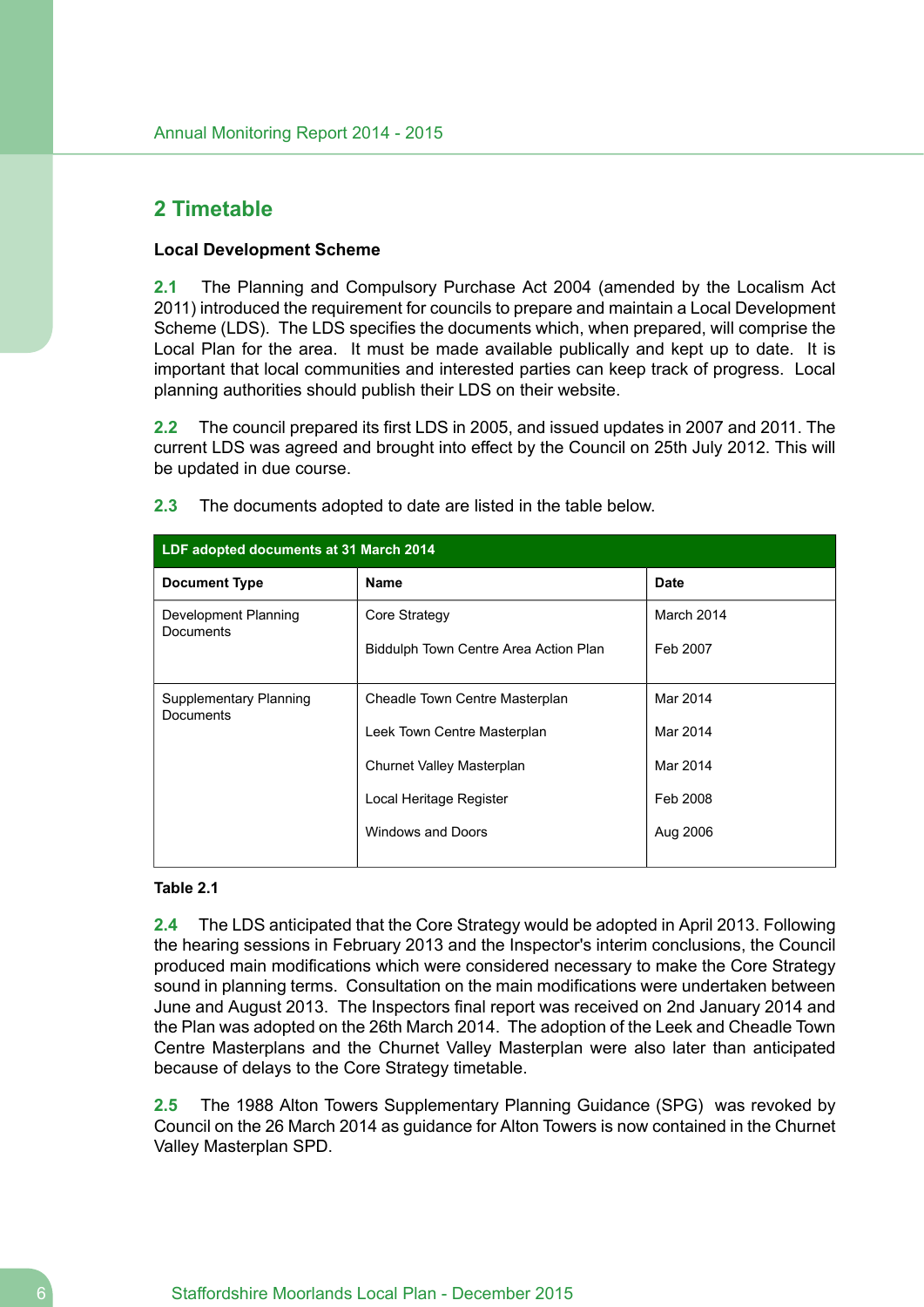## <span id="page-5-0"></span>**2 Timetable**

### **Local Development Scheme**

**2.1** The Planning and Compulsory Purchase Act 2004 (amended by the Localism Act 2011) introduced the requirement for councils to prepare and maintain a Local Development Scheme (LDS). The LDS specifies the documents which, when prepared, will comprise the Local Plan for the area. It must be made available publically and kept up to date. It is important that local communities and interested parties can keep track of progress. Local planning authorities should publish their LDS on their website.

**2.2** The council prepared its first LDS in 2005, and issued updates in 2007 and 2011. The current LDS was agreed and brought into effect by the Council on 25th July 2012. This will be updated in due course.

| LDF adopted documents at 31 March 2014   |                                       |             |  |  |  |
|------------------------------------------|---------------------------------------|-------------|--|--|--|
| <b>Document Type</b>                     | <b>Name</b>                           | <b>Date</b> |  |  |  |
| Development Planning<br><b>Documents</b> | Core Strategy                         | March 2014  |  |  |  |
|                                          | Biddulph Town Centre Area Action Plan | Feb 2007    |  |  |  |
|                                          |                                       |             |  |  |  |
| Supplementary Planning<br>Documents      | Cheadle Town Centre Masterplan        | Mar 2014    |  |  |  |
|                                          | Leek Town Centre Masterplan           | Mar 2014    |  |  |  |
|                                          | Churnet Valley Masterplan             | Mar 2014    |  |  |  |
|                                          | Local Heritage Register               | Feb 2008    |  |  |  |
|                                          | Windows and Doors                     | Aug 2006    |  |  |  |
|                                          |                                       |             |  |  |  |

**2.3** The documents adopted to date are listed in the table below.

#### **Table 2.1**

**2.4** The LDS anticipated that the Core Strategy would be adopted in April 2013. Following the hearing sessions in February 2013 and the Inspector's interim conclusions, the Council produced main modifications which were considered necessary to make the Core Strategy sound in planning terms. Consultation on the main modifications were undertaken between June and August 2013. The Inspectors final report was received on 2nd January 2014 and the Plan was adopted on the 26th March 2014. The adoption of the Leek and Cheadle Town Centre Masterplans and the Churnet Valley Masterplan were also later than anticipated because of delays to the Core Strategy timetable.

**2.5** The 1988 Alton Towers Supplementary Planning Guidance (SPG) was revoked by Council on the 26 March 2014 as guidance for Alton Towers is now contained in the Churnet Valley Masterplan SPD.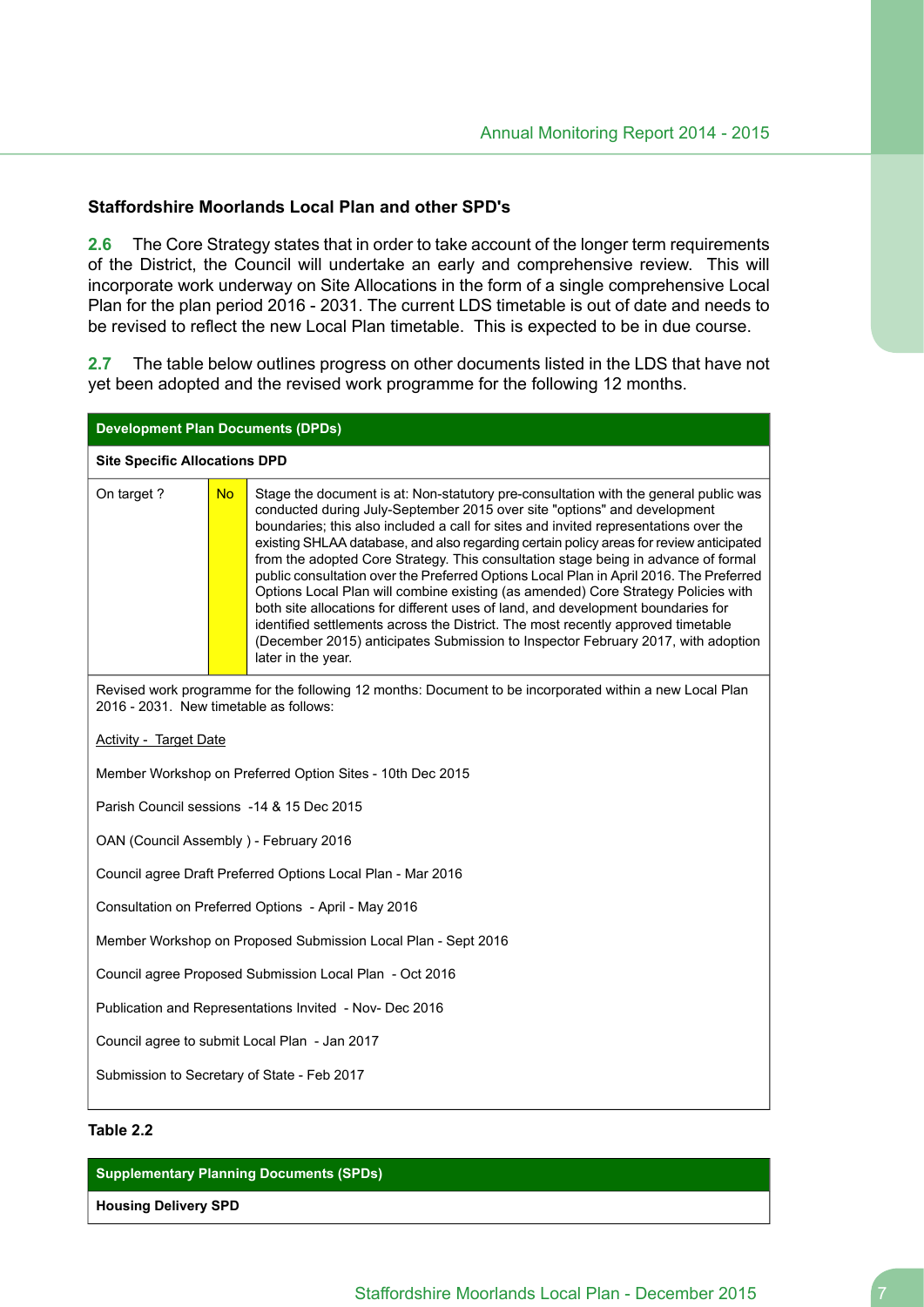#### **Staffordshire Moorlands Local Plan and other SPD's**

**2.6** The Core Strategy states that in order to take account of the longer term requirements of the District, the Council will undertake an early and comprehensive review. This will incorporate work underway on Site Allocations in the form of a single comprehensive Local Plan for the plan period 2016 - 2031. The current LDS timetable is out of date and needs to be revised to reflect the new Local Plan timetable. This is expected to be in due course.

**2.7** The table below outlines progress on other documents listed in the LDS that have not yet been adopted and the revised work programme for the following 12 months.

|                                        | <b>Development Plan Documents (DPDs)</b> |                                                                                                                                                                                                                                                                                                                                                                                                                                                                                                                                                                                                                                                                                                                                                                                                                                                                                                            |  |  |  |
|----------------------------------------|------------------------------------------|------------------------------------------------------------------------------------------------------------------------------------------------------------------------------------------------------------------------------------------------------------------------------------------------------------------------------------------------------------------------------------------------------------------------------------------------------------------------------------------------------------------------------------------------------------------------------------------------------------------------------------------------------------------------------------------------------------------------------------------------------------------------------------------------------------------------------------------------------------------------------------------------------------|--|--|--|
| <b>Site Specific Allocations DPD</b>   |                                          |                                                                                                                                                                                                                                                                                                                                                                                                                                                                                                                                                                                                                                                                                                                                                                                                                                                                                                            |  |  |  |
| On target ?                            | <b>No</b>                                | Stage the document is at: Non-statutory pre-consultation with the general public was<br>conducted during July-September 2015 over site "options" and development<br>boundaries; this also included a call for sites and invited representations over the<br>existing SHLAA database, and also regarding certain policy areas for review anticipated<br>from the adopted Core Strategy. This consultation stage being in advance of formal<br>public consultation over the Preferred Options Local Plan in April 2016. The Preferred<br>Options Local Plan will combine existing (as amended) Core Strategy Policies with<br>both site allocations for different uses of land, and development boundaries for<br>identified settlements across the District. The most recently approved timetable<br>(December 2015) anticipates Submission to Inspector February 2017, with adoption<br>later in the year. |  |  |  |
| 2016 - 2031. New timetable as follows: |                                          | Revised work programme for the following 12 months: Document to be incorporated within a new Local Plan                                                                                                                                                                                                                                                                                                                                                                                                                                                                                                                                                                                                                                                                                                                                                                                                    |  |  |  |
| <b>Activity - Target Date</b>          |                                          |                                                                                                                                                                                                                                                                                                                                                                                                                                                                                                                                                                                                                                                                                                                                                                                                                                                                                                            |  |  |  |
|                                        |                                          | Member Workshop on Preferred Option Sites - 10th Dec 2015                                                                                                                                                                                                                                                                                                                                                                                                                                                                                                                                                                                                                                                                                                                                                                                                                                                  |  |  |  |
|                                        |                                          | Parish Council sessions -14 & 15 Dec 2015                                                                                                                                                                                                                                                                                                                                                                                                                                                                                                                                                                                                                                                                                                                                                                                                                                                                  |  |  |  |
| OAN (Council Assembly) - February 2016 |                                          |                                                                                                                                                                                                                                                                                                                                                                                                                                                                                                                                                                                                                                                                                                                                                                                                                                                                                                            |  |  |  |
|                                        |                                          | Council agree Draft Preferred Options Local Plan - Mar 2016                                                                                                                                                                                                                                                                                                                                                                                                                                                                                                                                                                                                                                                                                                                                                                                                                                                |  |  |  |
|                                        |                                          | Consultation on Preferred Options - April - May 2016                                                                                                                                                                                                                                                                                                                                                                                                                                                                                                                                                                                                                                                                                                                                                                                                                                                       |  |  |  |
|                                        |                                          | Member Workshop on Proposed Submission Local Plan - Sept 2016                                                                                                                                                                                                                                                                                                                                                                                                                                                                                                                                                                                                                                                                                                                                                                                                                                              |  |  |  |
|                                        |                                          | Council agree Proposed Submission Local Plan - Oct 2016                                                                                                                                                                                                                                                                                                                                                                                                                                                                                                                                                                                                                                                                                                                                                                                                                                                    |  |  |  |
|                                        |                                          | Publication and Representations Invited - Nov- Dec 2016                                                                                                                                                                                                                                                                                                                                                                                                                                                                                                                                                                                                                                                                                                                                                                                                                                                    |  |  |  |
|                                        |                                          | Council agree to submit Local Plan - Jan 2017                                                                                                                                                                                                                                                                                                                                                                                                                                                                                                                                                                                                                                                                                                                                                                                                                                                              |  |  |  |
|                                        |                                          | Submission to Secretary of State - Feb 2017                                                                                                                                                                                                                                                                                                                                                                                                                                                                                                                                                                                                                                                                                                                                                                                                                                                                |  |  |  |
| Table 2.2                              |                                          |                                                                                                                                                                                                                                                                                                                                                                                                                                                                                                                                                                                                                                                                                                                                                                                                                                                                                                            |  |  |  |

#### **Supplementary Planning Documents (SPDs)**

**Housing Delivery SPD**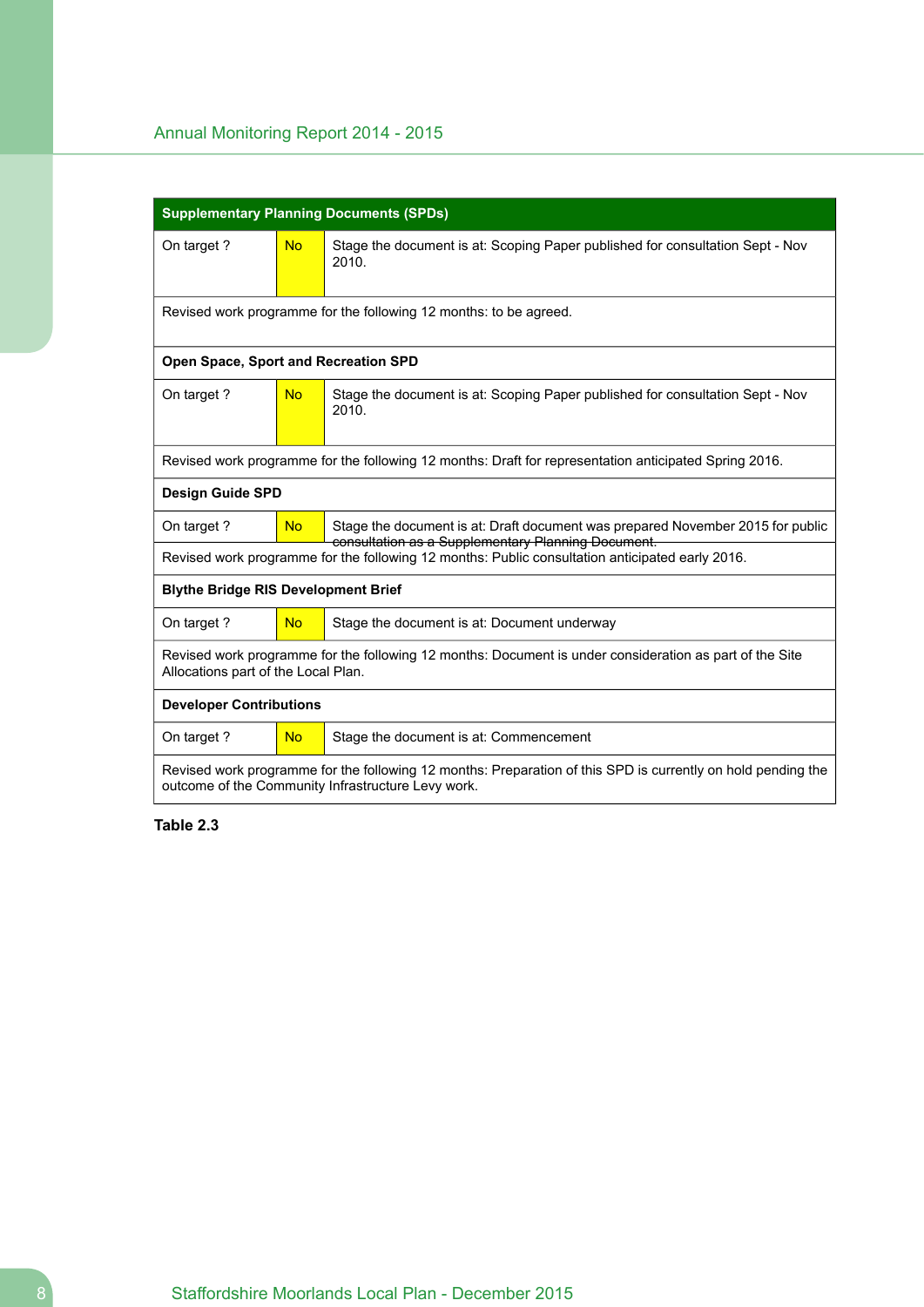|                                                                                                                                                                    |           | <b>Supplementary Planning Documents (SPDs)</b>                                                                                       |  |  |
|--------------------------------------------------------------------------------------------------------------------------------------------------------------------|-----------|--------------------------------------------------------------------------------------------------------------------------------------|--|--|
| On target?                                                                                                                                                         | <b>No</b> | Stage the document is at: Scoping Paper published for consultation Sept - Nov<br>2010.                                               |  |  |
|                                                                                                                                                                    |           | Revised work programme for the following 12 months: to be agreed.                                                                    |  |  |
| Open Space, Sport and Recreation SPD                                                                                                                               |           |                                                                                                                                      |  |  |
| On target?                                                                                                                                                         | <b>No</b> | Stage the document is at: Scoping Paper published for consultation Sept - Nov<br>2010.                                               |  |  |
|                                                                                                                                                                    |           | Revised work programme for the following 12 months: Draft for representation anticipated Spring 2016.                                |  |  |
| <b>Design Guide SPD</b>                                                                                                                                            |           |                                                                                                                                      |  |  |
| On target?                                                                                                                                                         | <b>No</b> | Stage the document is at: Draft document was prepared November 2015 for public<br>consultation as a Supplementary Planning Document. |  |  |
|                                                                                                                                                                    |           | Revised work programme for the following 12 months: Public consultation anticipated early 2016.                                      |  |  |
| <b>Blythe Bridge RIS Development Brief</b>                                                                                                                         |           |                                                                                                                                      |  |  |
| On target?                                                                                                                                                         | <b>No</b> | Stage the document is at: Document underway                                                                                          |  |  |
| Revised work programme for the following 12 months: Document is under consideration as part of the Site<br>Allocations part of the Local Plan.                     |           |                                                                                                                                      |  |  |
| <b>Developer Contributions</b>                                                                                                                                     |           |                                                                                                                                      |  |  |
| On target?                                                                                                                                                         | <b>No</b> | Stage the document is at: Commencement                                                                                               |  |  |
| Revised work programme for the following 12 months: Preparation of this SPD is currently on hold pending the<br>outcome of the Community Infrastructure Levy work. |           |                                                                                                                                      |  |  |

**Table 2.3**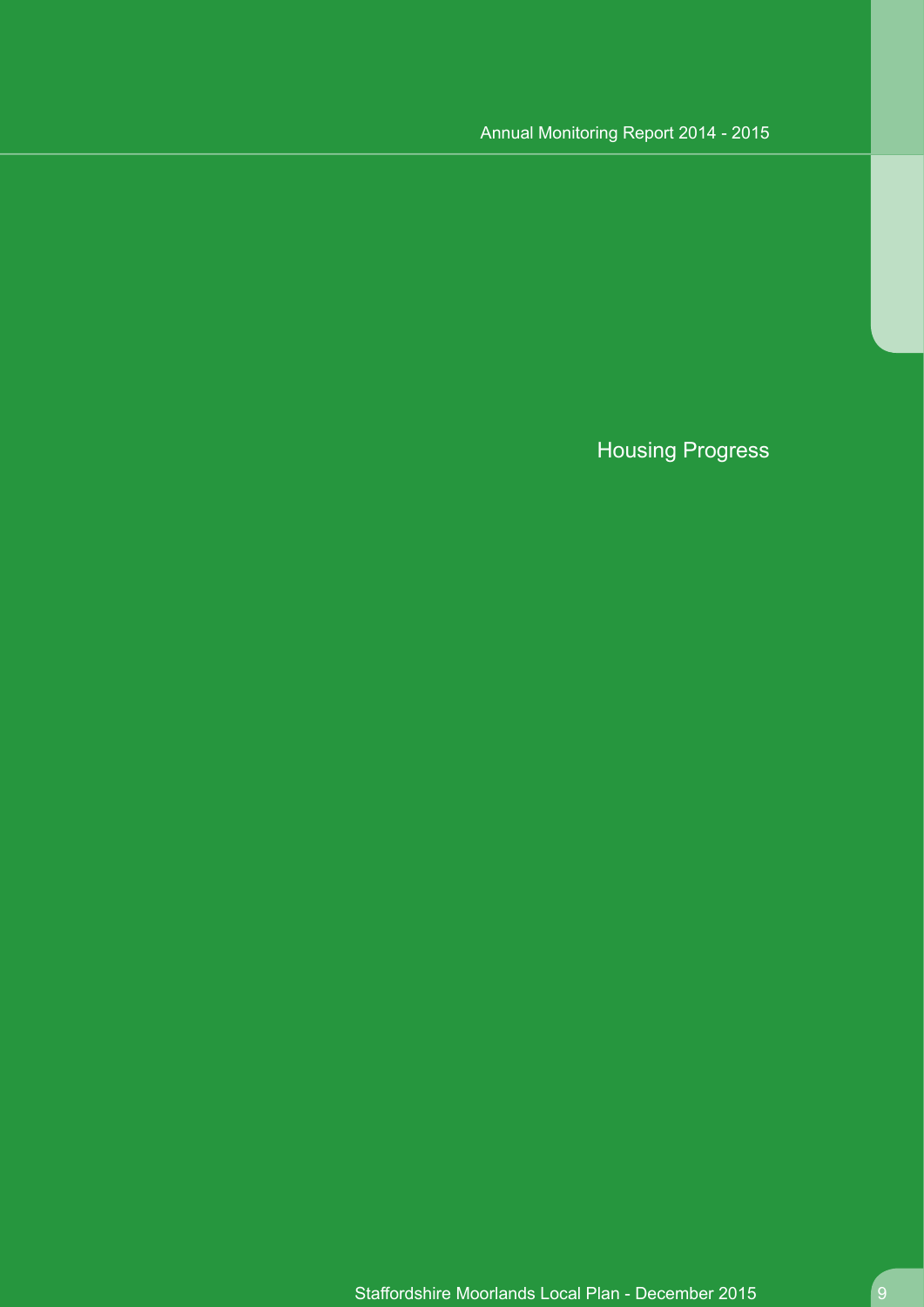# Housing Progress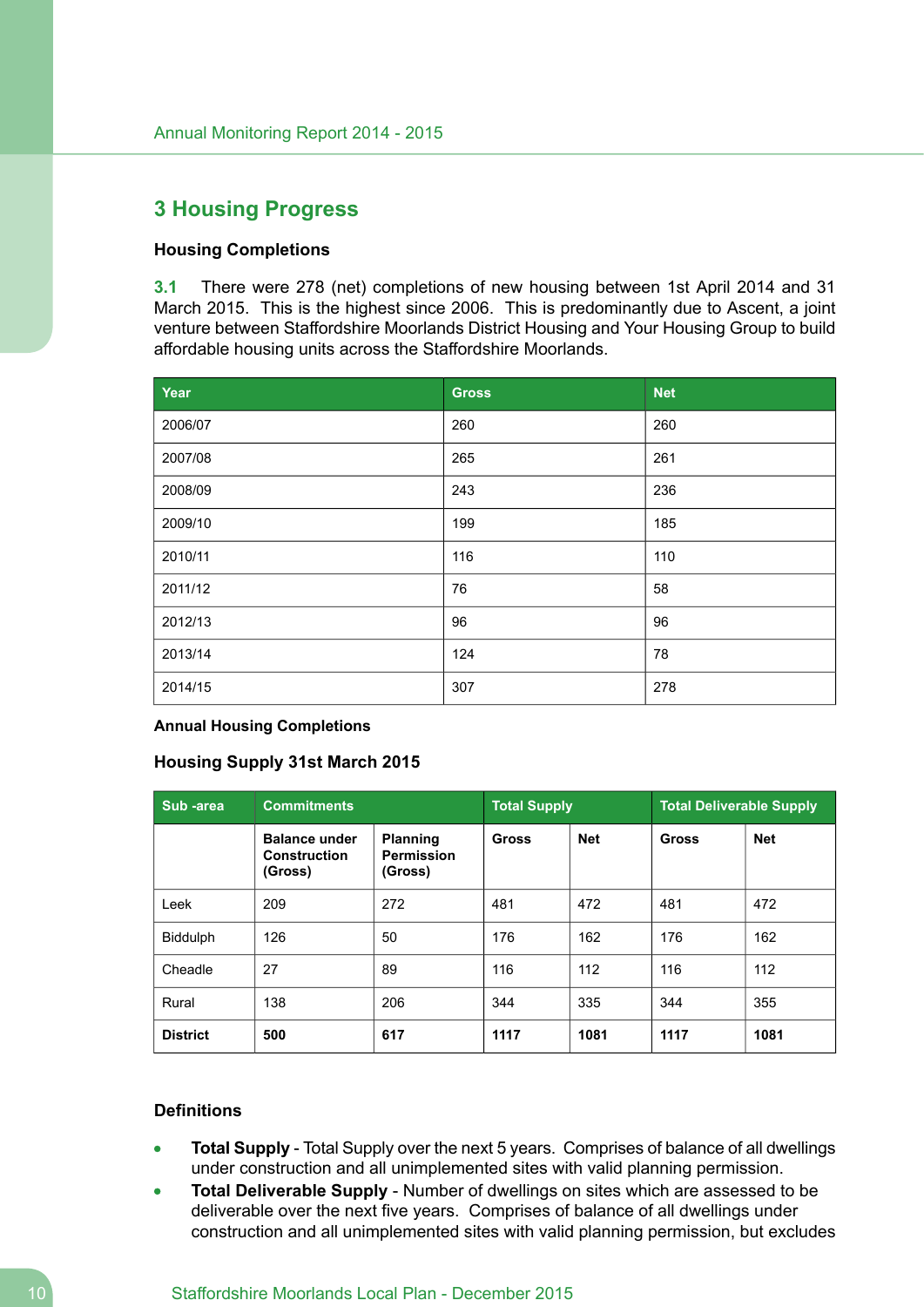## <span id="page-9-0"></span>**3 Housing Progress**

### **Housing Completions**

**3.1** There were 278 (net) completions of new housing between 1st April 2014 and 31 March 2015. This is the highest since 2006. This is predominantly due to Ascent, a joint venture between Staffordshire Moorlands District Housing and Your Housing Group to build affordable housing units across the Staffordshire Moorlands.

| Year    | <b>Gross</b> | <b>Net</b> |
|---------|--------------|------------|
| 2006/07 | 260          | 260        |
| 2007/08 | 265          | 261        |
| 2008/09 | 243          | 236        |
| 2009/10 | 199          | 185        |
| 2010/11 | 116          | 110        |
| 2011/12 | 76           | 58         |
| 2012/13 | 96           | 96         |
| 2013/14 | 124          | 78         |
| 2014/15 | 307          | 278        |

#### **Annual Housing Completions**

#### **Housing Supply 31st March 2015**

| Sub -area       | <b>Commitments</b>                                     | <b>Total Supply</b>                             |              | <b>Total Deliverable Supply</b> |       |            |
|-----------------|--------------------------------------------------------|-------------------------------------------------|--------------|---------------------------------|-------|------------|
|                 | <b>Balance under</b><br><b>Construction</b><br>(Gross) | <b>Planning</b><br><b>Permission</b><br>(Gross) | <b>Gross</b> | <b>Net</b>                      | Gross | <b>Net</b> |
| Leek            | 209                                                    | 272                                             | 481          | 472                             | 481   | 472        |
| Biddulph        | 126                                                    | 50                                              | 176          | 162                             | 176   | 162        |
| Cheadle         | 27                                                     | 89                                              | 116          | 112                             | 116   | 112        |
| Rural           | 138                                                    | 206                                             | 344          | 335                             | 344   | 355        |
| <b>District</b> | 500                                                    | 617                                             | 1117         | 1081                            | 1117  | 1081       |

#### **Definitions**

- **Total Supply** Total Supply over the next 5 years. Comprises of balance of all dwellings under construction and all unimplemented sites with valid planning permission.
- **Total Deliverable Supply** Number of dwellings on sites which are assessed to be  $\bullet$ deliverable over the next five years. Comprises of balance of all dwellings under construction and all unimplemented sites with valid planning permission, but excludes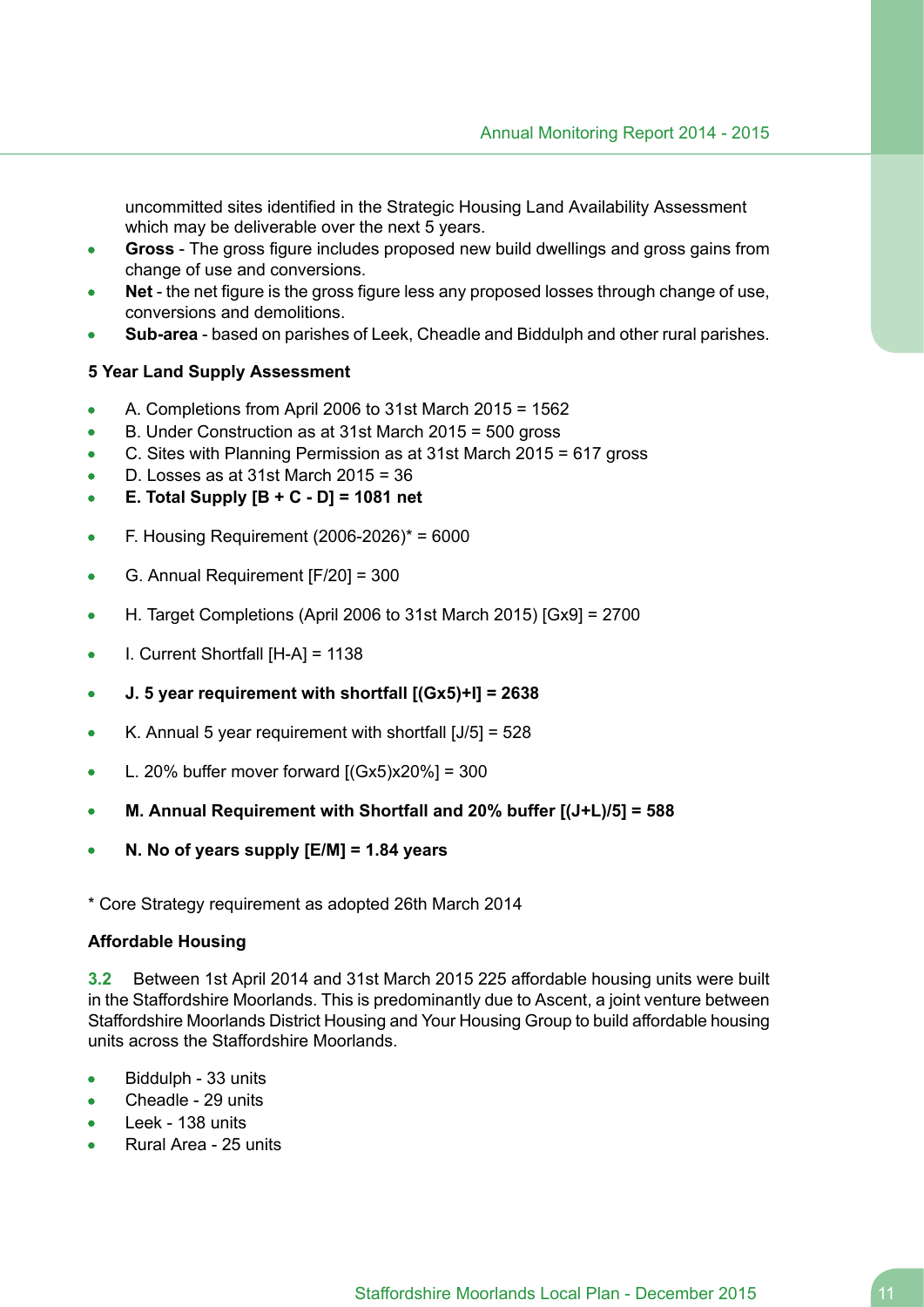uncommitted sites identified in the Strategic Housing Land Availability Assessment which may be deliverable over the next 5 years.

- **Gross** The gross figure includes proposed new build dwellings and gross gains from change of use and conversions.
- **Net** the net figure is the gross figure less any proposed losses through change of use, conversions and demolitions.
- **Sub-area** based on parishes of Leek, Cheadle and Biddulph and other rural parishes.

### **5 Year Land Supply Assessment**

- A. Completions from April 2006 to 31st March 2015 = 1562
- B. Under Construction as at 31st March 2015 = 500 gross
- C. Sites with Planning Permission as at 31st March 2015 = 617 gross  $\bullet$
- D. Losses as at 31st March 2015 = 36
- **E. Total Supply [B + C - D] = 1081 net**  $\bullet$
- F. Housing Requirement (2006-2026)\* = 6000  $\bullet$
- G. Annual Requirement [F/20] = 300  $\blacksquare$
- H. Target Completions (April 2006 to 31st March 2015) [Gx9] = 2700  $\bullet$
- I. Current Shortfall [H-A] = 1138  $\bullet$
- **J. 5 year requirement with shortfall [(Gx5)+I] = 2638**  $\bullet$
- K. Annual 5 year requirement with shortfall [J/5] = 528  $\bullet$
- L. 20% buffer mover forward  $[(Gx5)x20%] = 300$
- **M. Annual Requirement with Shortfall and 20% buffer [(J+L)/5] = 588**
- **N. No of years supply [E/M] = 1.84 years**

\* Core Strategy requirement as adopted 26th March 2014

#### **Affordable Housing**

**3.2** Between 1st April 2014 and 31st March 2015 225 affordable housing units were built in the Staffordshire Moorlands. This is predominantly due to Ascent, a joint venture between Staffordshire Moorlands District Housing and Your Housing Group to build affordable housing units across the Staffordshire Moorlands.

- Biddulph 33 units  $\bullet$
- Cheadle 29 units  $\bullet$
- Leek 138 units
- Rural Area 25 units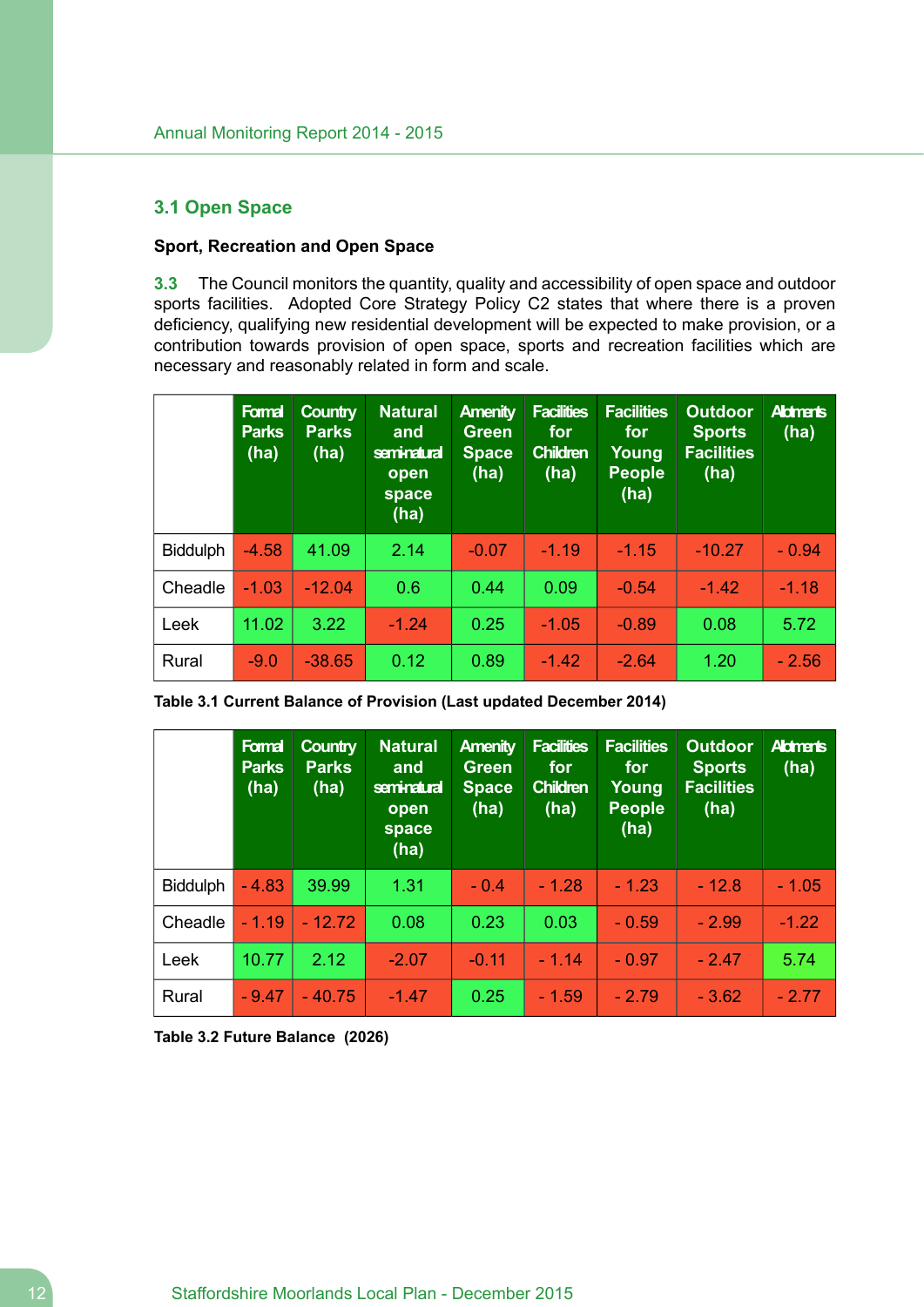### <span id="page-11-0"></span>**3.1 Open Space**

### **Sport, Recreation and Open Space**

**3.3** The Council monitors the quantity, quality and accessibility of open space and outdoor sports facilities. Adopted Core Strategy Policy C2 states that where there is a proven deficiency, qualifying new residential development will be expected to make provision, or a contribution towards provision of open space, sports and recreation facilities which are necessary and reasonably related in form and scale.

|                 | Formal<br><b>Parks</b><br>(ha) | <b>Country</b><br><b>Parks</b><br>(ha) | <b>Natural</b><br>and<br>seminatural<br>open<br>space<br>(ha) | <b>Amenity</b><br><b>Green</b><br><b>Space</b><br>(ha) | <b>Facilities</b><br>for<br><b>Children</b><br>(ha) | <b>Facilities</b><br>for<br>Young<br><b>People</b><br>(ha) | <b>Outdoor</b><br><b>Sports</b><br><b>Facilities</b><br>(ha) | <b>Aldmants</b><br>(ha) |
|-----------------|--------------------------------|----------------------------------------|---------------------------------------------------------------|--------------------------------------------------------|-----------------------------------------------------|------------------------------------------------------------|--------------------------------------------------------------|-------------------------|
| <b>Biddulph</b> | $-4.58$                        | 41.09                                  | 2.14                                                          | $-0.07$                                                | $-1.19$                                             | $-1.15$                                                    | $-10.27$                                                     | $-0.94$                 |
| Cheadle         | $-1.03$                        | $-12.04$                               | 0.6                                                           | 0.44                                                   | 0.09                                                | $-0.54$                                                    | $-1.42$                                                      | $-1.18$                 |
| Leek            | 11.02                          | 3.22                                   | $-1.24$                                                       | 0.25                                                   | $-1.05$                                             | $-0.89$                                                    | 0.08                                                         | 5.72                    |
| Rural           | $-9.0$                         | $-38.65$                               | 0.12                                                          | 0.89                                                   | $-1.42$                                             | $-2.64$                                                    | 1.20                                                         | $-2.56$                 |

|                 | Formal<br><b>Parks</b><br>(ha) | <b>Country</b><br><b>Parks</b><br>(ha) | <b>Natural</b><br>and<br>seminatural<br>open<br>space<br>(ha) | <b>Amenity</b><br><b>Green</b><br><b>Space</b><br>(ha) | <b>Facilities</b><br>for<br><b>Children</b><br>(ha) | <b>Facilities</b><br>for<br>Young<br><b>People</b><br>(ha) | <b>Outdoor</b><br><b>Sports</b><br><b>Facilities</b><br>(ha) | <b>Aldmants</b><br>(ha) |
|-----------------|--------------------------------|----------------------------------------|---------------------------------------------------------------|--------------------------------------------------------|-----------------------------------------------------|------------------------------------------------------------|--------------------------------------------------------------|-------------------------|
| <b>Biddulph</b> | $-4.83$                        | 39.99                                  | 1.31                                                          | $-0.4$                                                 | $-1.28$                                             | $-1.23$                                                    | $-12.8$                                                      | $-1.05$                 |
| Cheadle         | $-1.19$                        | $-12.72$                               | 0.08                                                          | 0.23                                                   | 0.03                                                | $-0.59$                                                    | $-2.99$                                                      | $-1.22$                 |
| Leek            | 10.77                          | 2.12                                   | $-2.07$                                                       | $-0.11$                                                | $-1.14$                                             | $-0.97$                                                    | $-2.47$                                                      | 5.74                    |
| Rural           | $-9.47$                        | $-40.75$                               | $-1.47$                                                       | 0.25                                                   | $-1.59$                                             | $-2.79$                                                    | $-3.62$                                                      | $-2.77$                 |

**Table 3.2 Future Balance (2026)**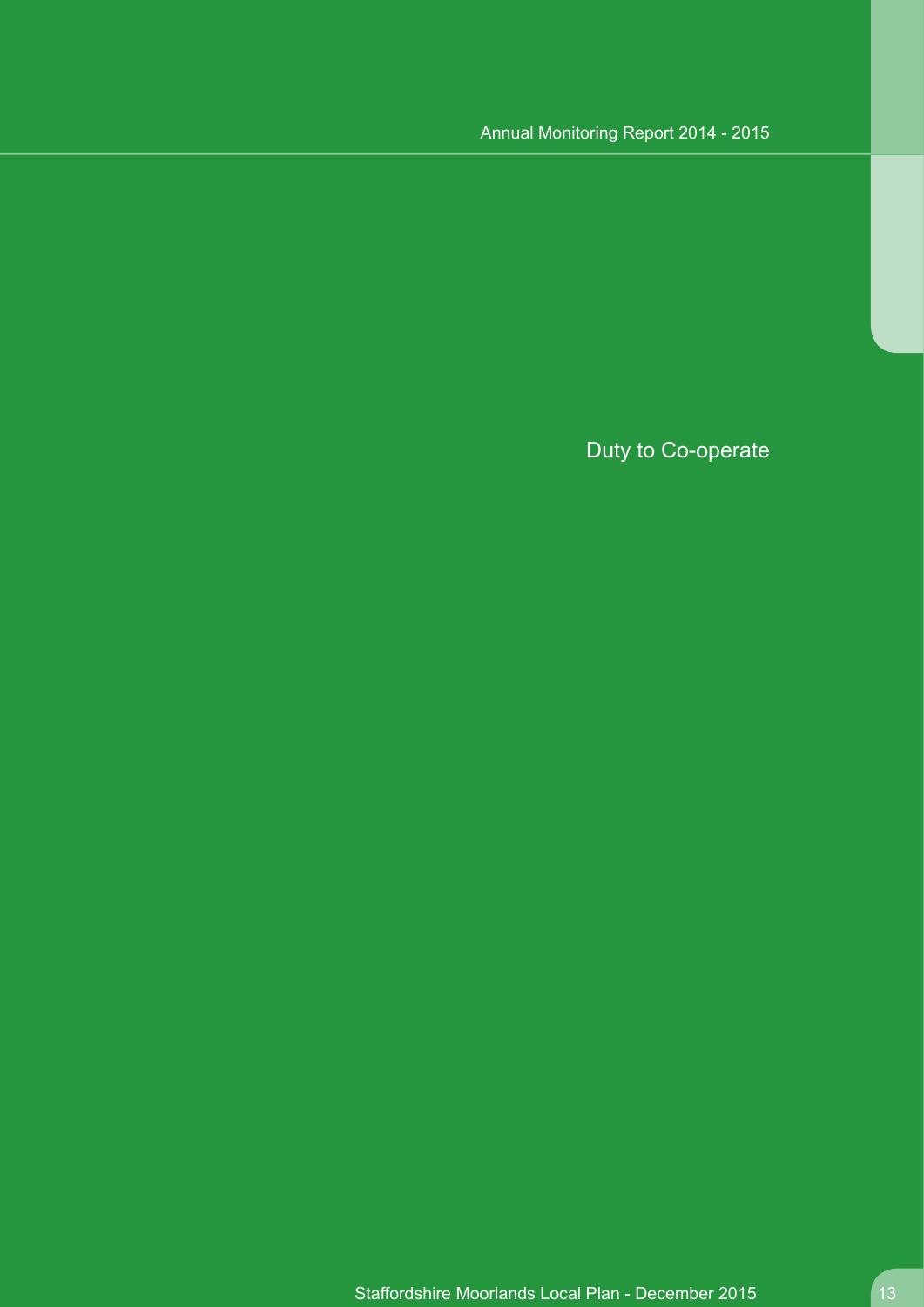Duty to Co-operate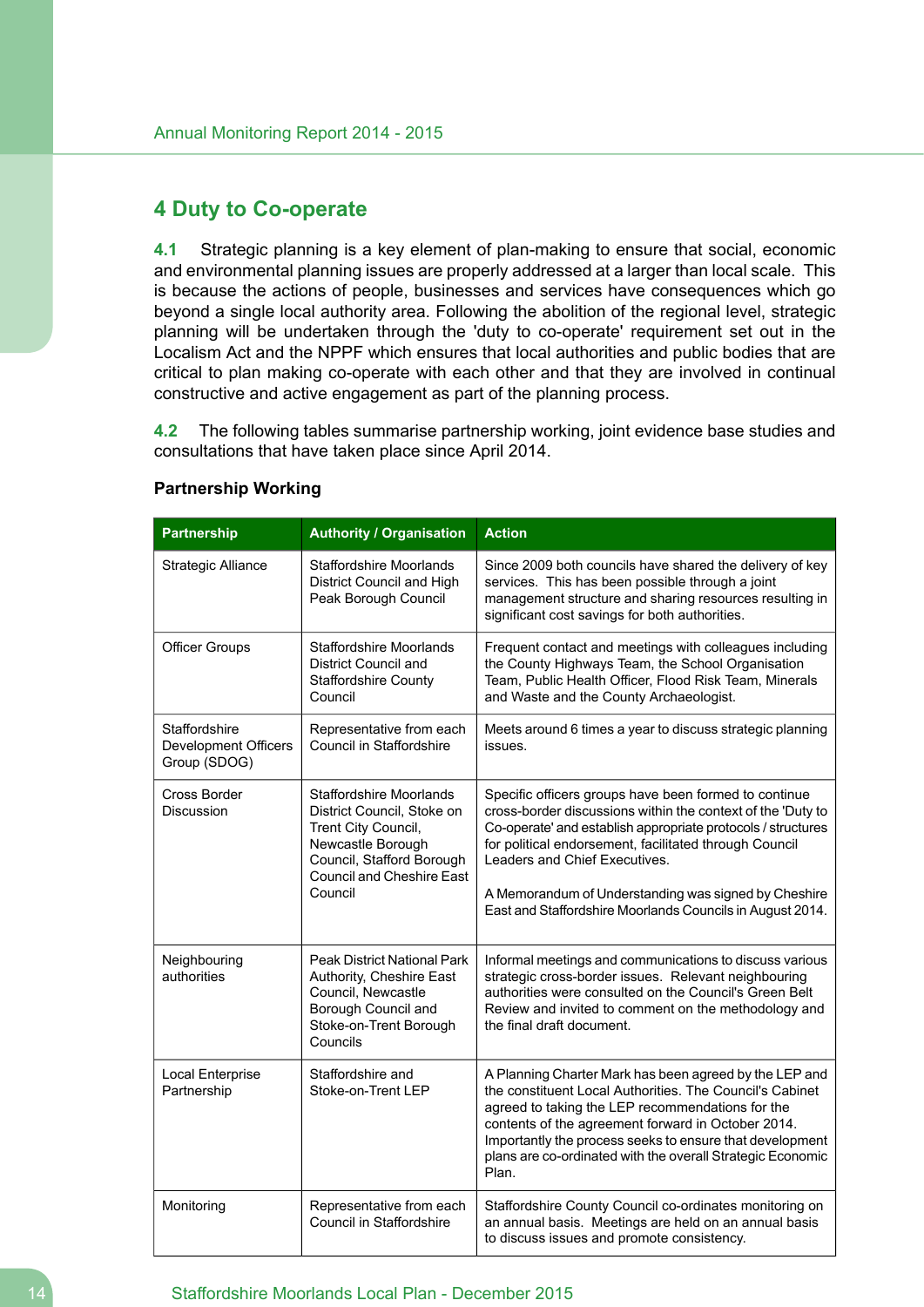### <span id="page-13-0"></span>**4 Duty to Co-operate**

**4.1** Strategic planning is a key element of plan-making to ensure that social, economic and environmental planning issues are properly addressed at a larger than local scale. This is because the actions of people, businesses and services have consequences which go beyond a single local authority area. Following the abolition of the regional level, strategic planning will be undertaken through the 'duty to co-operate' requirement set out in the Localism Act and the NPPF which ensures that local authorities and public bodies that are critical to plan making co-operate with each other and that they are involved in continual constructive and active engagement as part of the planning process.

**4.2** The following tables summarise partnership working, joint evidence base studies and consultations that have taken place since April 2014.

| <b>Partnership</b>                                           | <b>Authority / Organisation</b>                                                                                                                                                      | <b>Action</b>                                                                                                                                                                                                                                                                                                                                                                                        |
|--------------------------------------------------------------|--------------------------------------------------------------------------------------------------------------------------------------------------------------------------------------|------------------------------------------------------------------------------------------------------------------------------------------------------------------------------------------------------------------------------------------------------------------------------------------------------------------------------------------------------------------------------------------------------|
| <b>Strategic Alliance</b>                                    | <b>Staffordshire Moorlands</b><br>District Council and High<br>Peak Borough Council                                                                                                  | Since 2009 both councils have shared the delivery of key<br>services. This has been possible through a joint<br>management structure and sharing resources resulting in<br>significant cost savings for both authorities.                                                                                                                                                                            |
| <b>Officer Groups</b>                                        | <b>Staffordshire Moorlands</b><br><b>District Council and</b><br><b>Staffordshire County</b><br>Council                                                                              | Frequent contact and meetings with colleagues including<br>the County Highways Team, the School Organisation<br>Team, Public Health Officer, Flood Risk Team, Minerals<br>and Waste and the County Archaeologist.                                                                                                                                                                                    |
| Staffordshire<br><b>Development Officers</b><br>Group (SDOG) | Representative from each<br>Council in Staffordshire                                                                                                                                 | Meets around 6 times a year to discuss strategic planning<br>issues.                                                                                                                                                                                                                                                                                                                                 |
| Cross Border<br>Discussion                                   | <b>Staffordshire Moorlands</b><br>District Council, Stoke on<br>Trent City Council,<br>Newcastle Borough<br>Council, Stafford Borough<br><b>Council and Cheshire East</b><br>Council | Specific officers groups have been formed to continue<br>cross-border discussions within the context of the 'Duty to<br>Co-operate' and establish appropriate protocols / structures<br>for political endorsement, facilitated through Council<br>Leaders and Chief Executives.<br>A Memorandum of Understanding was signed by Cheshire<br>East and Staffordshire Moorlands Councils in August 2014. |
| Neighbouring<br>authorities                                  | Peak District National Park<br>Authority, Cheshire East<br>Council, Newcastle<br>Borough Council and<br>Stoke-on-Trent Borough<br>Councils                                           | Informal meetings and communications to discuss various<br>strategic cross-border issues. Relevant neighbouring<br>authorities were consulted on the Council's Green Belt<br>Review and invited to comment on the methodology and<br>the final draft document.                                                                                                                                       |
| <b>Local Enterprise</b><br>Partnership                       | Staffordshire and<br>Stoke-on-Trent LEP                                                                                                                                              | A Planning Charter Mark has been agreed by the LEP and<br>the constituent Local Authorities. The Council's Cabinet<br>agreed to taking the LEP recommendations for the<br>contents of the agreement forward in October 2014.<br>Importantly the process seeks to ensure that development<br>plans are co-ordinated with the overall Strategic Economic<br>Plan.                                      |
| Monitoring                                                   | Representative from each<br>Council in Staffordshire                                                                                                                                 | Staffordshire County Council co-ordinates monitoring on<br>an annual basis. Meetings are held on an annual basis<br>to discuss issues and promote consistency.                                                                                                                                                                                                                                       |

#### **Partnership Working**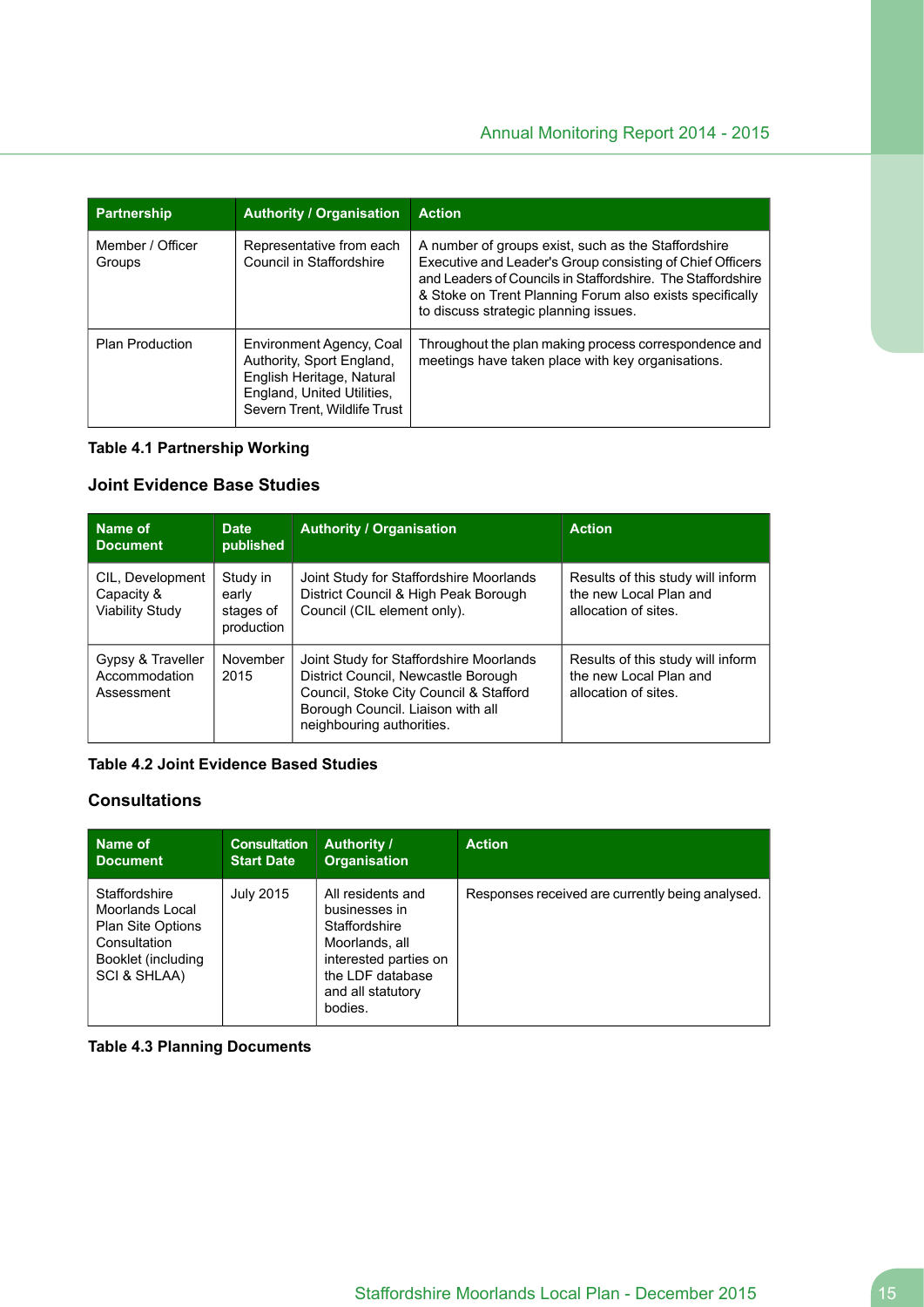| <b>Partnership</b>         | <b>Authority / Organisation</b>                                                                                                                  | <b>Action</b>                                                                                                                                                                                                                                                                        |
|----------------------------|--------------------------------------------------------------------------------------------------------------------------------------------------|--------------------------------------------------------------------------------------------------------------------------------------------------------------------------------------------------------------------------------------------------------------------------------------|
| Member / Officer<br>Groups | Representative from each<br>Council in Staffordshire                                                                                             | A number of groups exist, such as the Staffordshire<br>Executive and Leader's Group consisting of Chief Officers<br>and Leaders of Councils in Staffordshire. The Staffordshire<br>& Stoke on Trent Planning Forum also exists specifically<br>to discuss strategic planning issues. |
| <b>Plan Production</b>     | Environment Agency, Coal<br>Authority, Sport England,<br>English Heritage, Natural<br>England, United Utilities,<br>Severn Trent, Wildlife Trust | Throughout the plan making process correspondence and<br>meetings have taken place with key organisations.                                                                                                                                                                           |

#### **Table 4.1 Partnership Working**

### **Joint Evidence Base Studies**

| Name of<br><b>Document</b>                        | <b>Date</b><br>published                     | <b>Authority / Organisation</b>                                                                                                                                                            | <b>Action</b>                                                                       |
|---------------------------------------------------|----------------------------------------------|--------------------------------------------------------------------------------------------------------------------------------------------------------------------------------------------|-------------------------------------------------------------------------------------|
| CIL, Development<br>Capacity &<br>Viability Study | Study in<br>early<br>stages of<br>production | Joint Study for Staffordshire Moorlands<br>District Council & High Peak Borough<br>Council (CIL element only).                                                                             | Results of this study will inform<br>the new Local Plan and<br>allocation of sites. |
| Gypsy & Traveller<br>Accommodation<br>Assessment  | November<br>2015                             | Joint Study for Staffordshire Moorlands<br>District Council, Newcastle Borough<br>Council, Stoke City Council & Stafford<br>Borough Council. Liaison with all<br>neighbouring authorities. | Results of this study will inform<br>the new Local Plan and<br>allocation of sites. |

### **Table 4.2 Joint Evidence Based Studies**

### **Consultations**

| Name of                                                                                                            | <b>Consultation</b> | <b>Authority /</b>                                                                                                                                 | <b>Action</b>                                    |
|--------------------------------------------------------------------------------------------------------------------|---------------------|----------------------------------------------------------------------------------------------------------------------------------------------------|--------------------------------------------------|
| <b>Document</b>                                                                                                    | <b>Start Date</b>   | <b>Organisation</b>                                                                                                                                |                                                  |
| Staffordshire<br>Moorlands Local<br><b>Plan Site Options</b><br>Consultation<br>Booklet (including<br>SCI & SHLAA) | July 2015           | All residents and<br>businesses in<br>Staffordshire<br>Moorlands, all<br>interested parties on<br>the LDF database<br>and all statutory<br>bodies. | Responses received are currently being analysed. |

**Table 4.3 Planning Documents**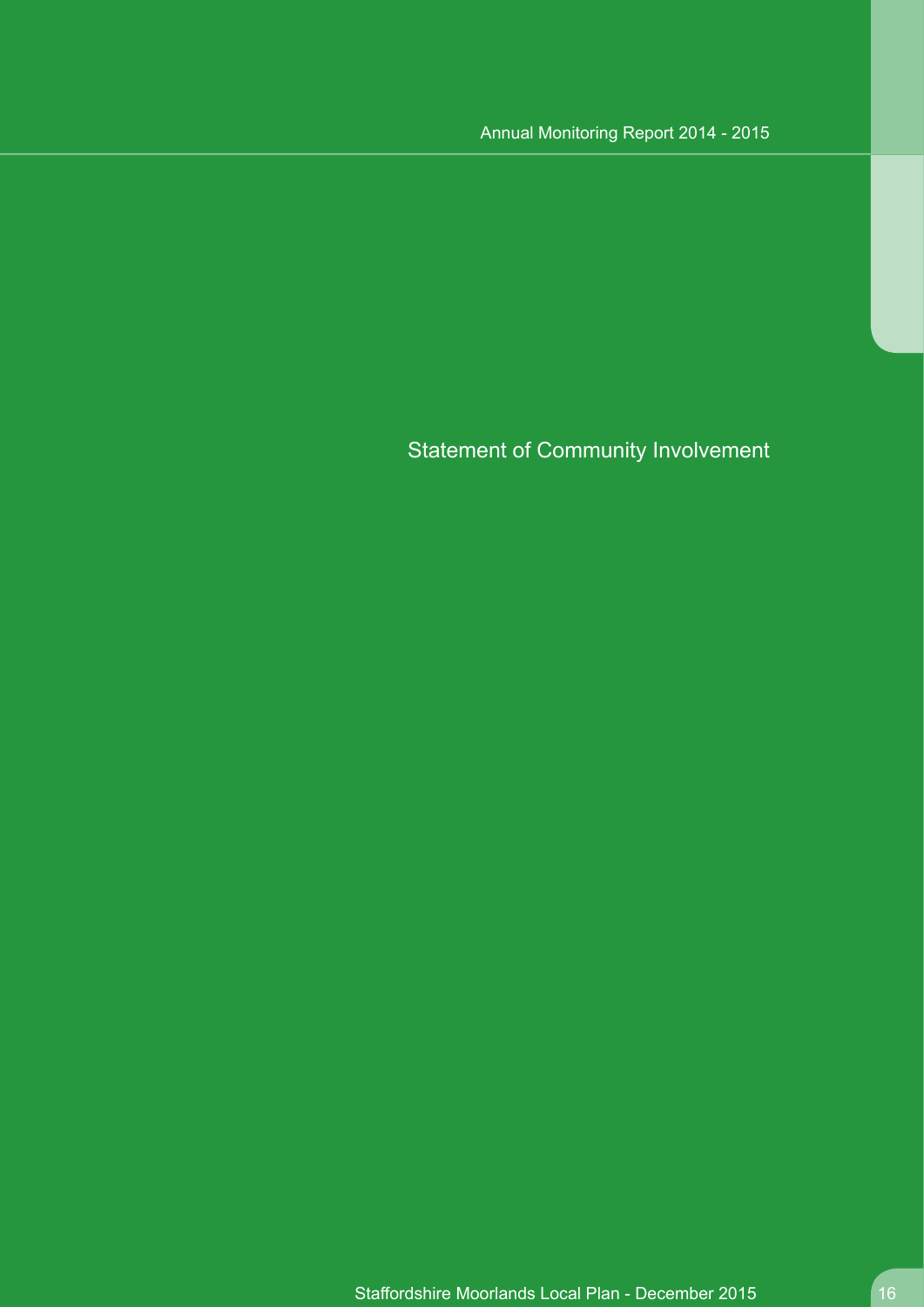Statement of Community Involvement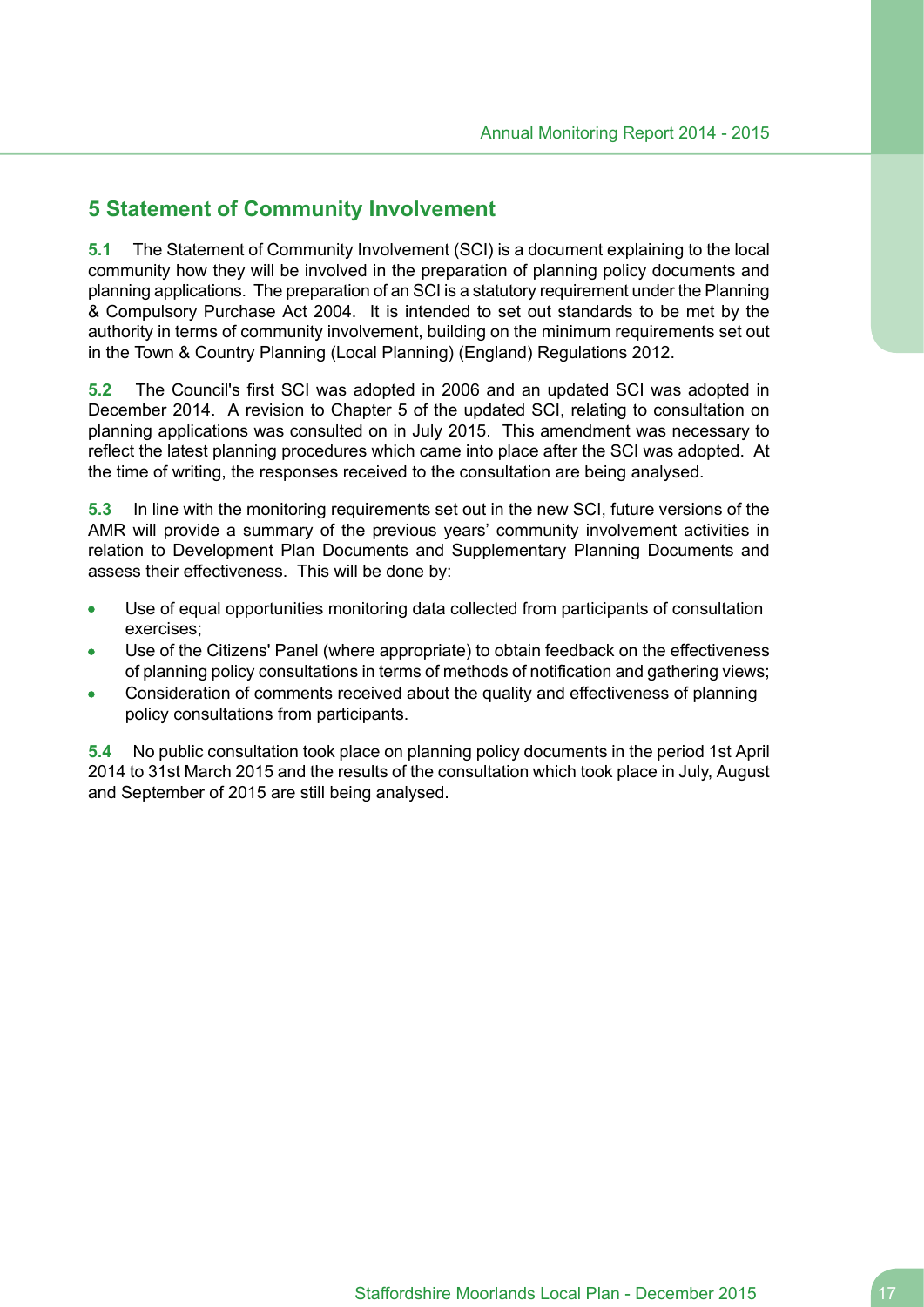## <span id="page-16-0"></span>**5 Statement of Community Involvement**

**5.1** The Statement of Community Involvement (SCI) is a document explaining to the local community how they will be involved in the preparation of planning policy documents and planning applications. The preparation of an SCI is a statutory requirement under the Planning & Compulsory Purchase Act 2004. It is intended to set out standards to be met by the authority in terms of community involvement, building on the minimum requirements set out in the Town & Country Planning (Local Planning) (England) Regulations 2012.

**5.2** The Council's first SCI was adopted in 2006 and an updated SCI was adopted in December 2014. A revision to Chapter 5 of the updated SCI, relating to consultation on planning applications was consulted on in July 2015. This amendment was necessary to reflect the latest planning procedures which came into place after the SCI was adopted. At the time of writing, the responses received to the consultation are being analysed.

**5.3** In line with the monitoring requirements set out in the new SCI, future versions of the AMR will provide a summary of the previous years' community involvement activities in relation to Development Plan Documents and Supplementary Planning Documents and assess their effectiveness. This will be done by:

- Use of equal opportunities monitoring data collected from participants of consultation  $\bullet$ exercises;
- Use of the Citizens' Panel (where appropriate) to obtain feedback on the effectiveness of planning policy consultations in terms of methods of notification and gathering views;
- Consideration of comments received about the quality and effectiveness of planning policy consultations from participants.

**5.4** No public consultation took place on planning policy documents in the period 1st April 2014 to 31st March 2015 and the results of the consultation which took place in July, August and September of 2015 are still being analysed.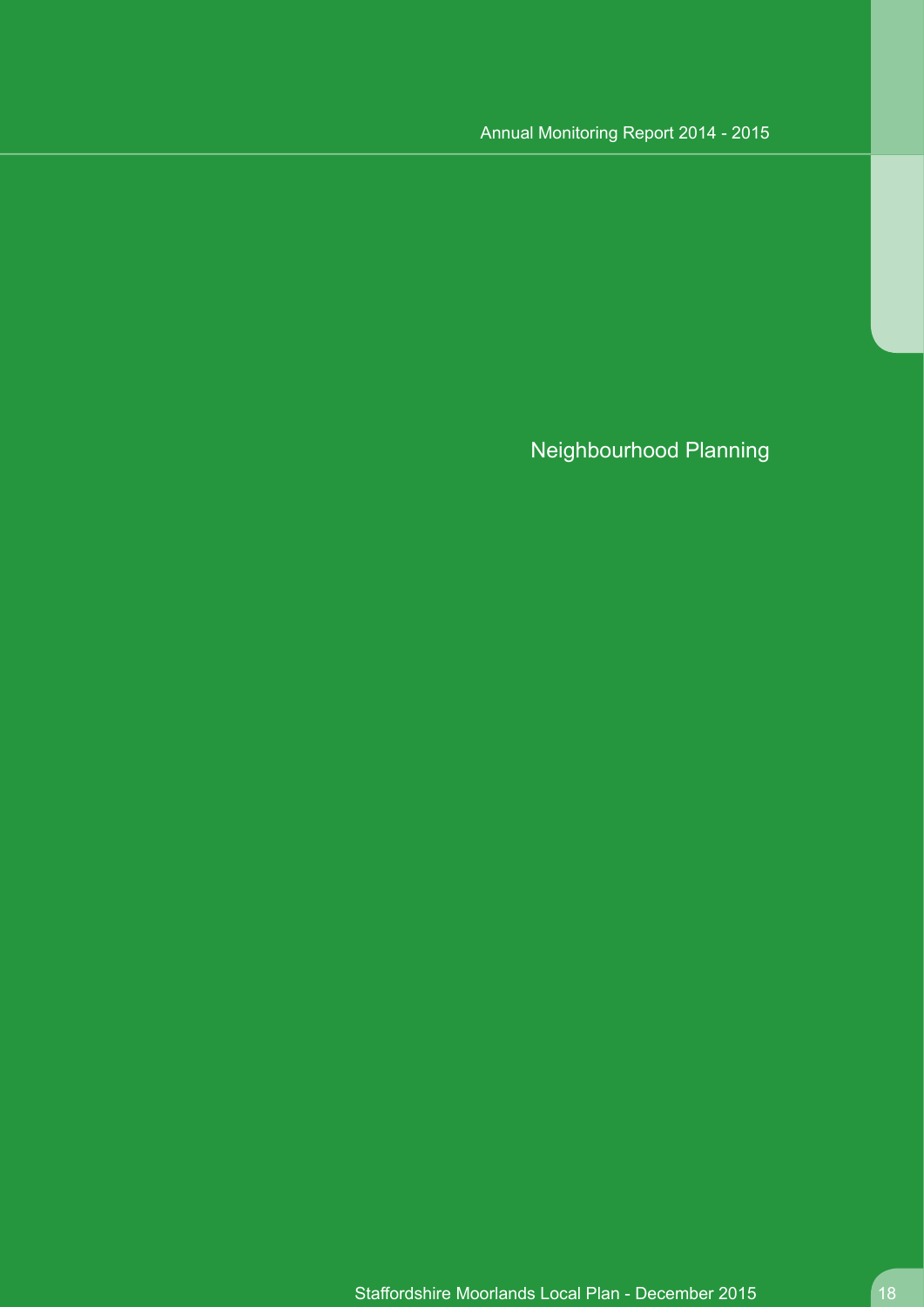Neighbourhood Planning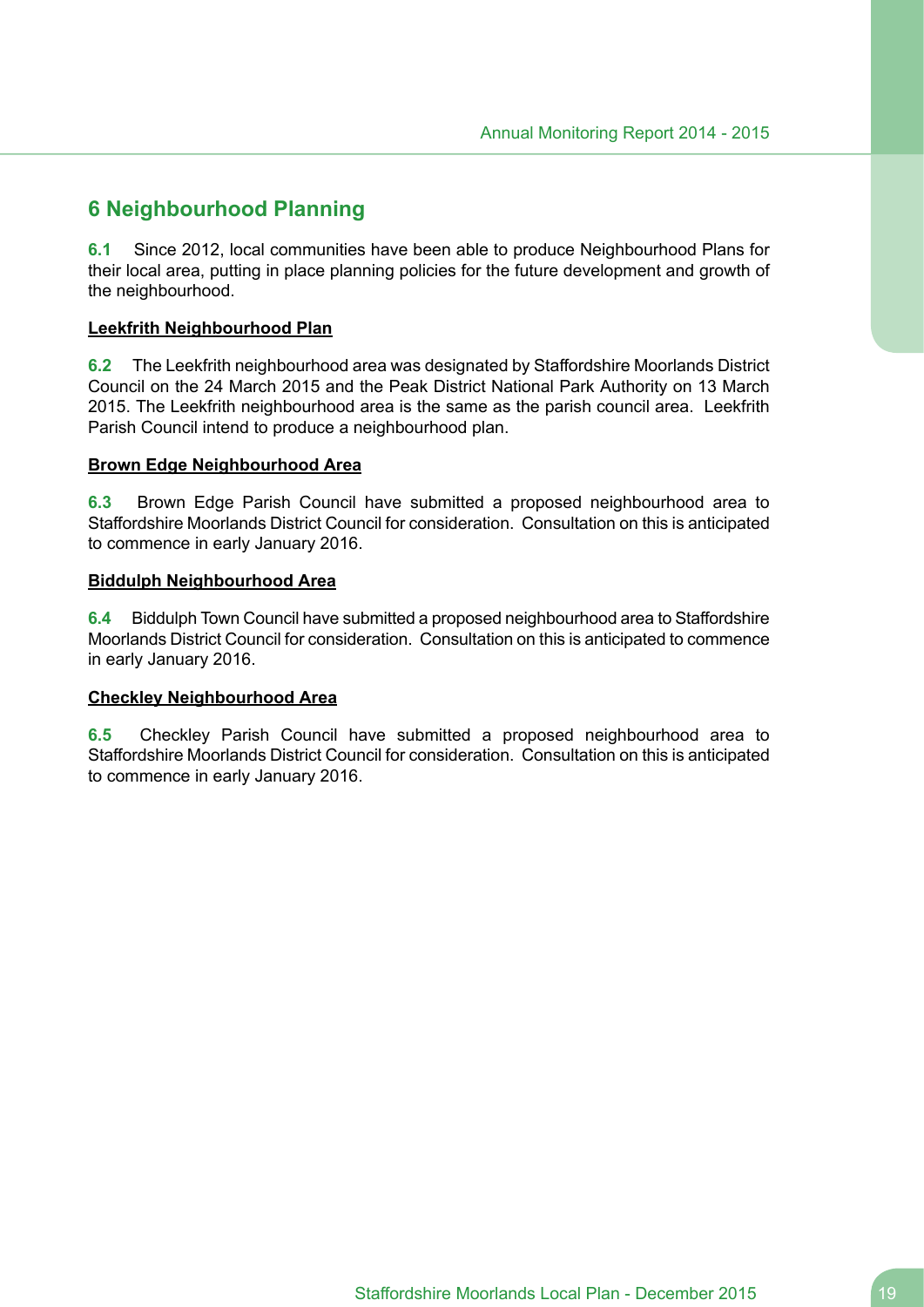# <span id="page-18-0"></span>**6 Neighbourhood Planning**

**6.1** Since 2012, local communities have been able to produce Neighbourhood Plans for their local area, putting in place planning policies for the future development and growth of the neighbourhood.

### **Leekfrith Neighbourhood Plan**

**6.2** The Leekfrith neighbourhood area was designated by Staffordshire Moorlands District Council on the 24 March 2015 and the Peak District National Park Authority on 13 March 2015. The Leekfrith neighbourhood area is the same as the parish council area. Leekfrith Parish Council intend to produce a neighbourhood plan.

#### **Brown Edge Neighbourhood Area**

**6.3** Brown Edge Parish Council have submitted a proposed neighbourhood area to Staffordshire Moorlands District Council for consideration. Consultation on this is anticipated to commence in early January 2016.

### **Biddulph Neighbourhood Area**

**6.4** Biddulph Town Council have submitted a proposed neighbourhood area to Staffordshire Moorlands District Council for consideration. Consultation on this is anticipated to commence in early January 2016.

#### **Checkley Neighbourhood Area**

**6.5** Checkley Parish Council have submitted a proposed neighbourhood area to Staffordshire Moorlands District Council for consideration. Consultation on this is anticipated to commence in early January 2016.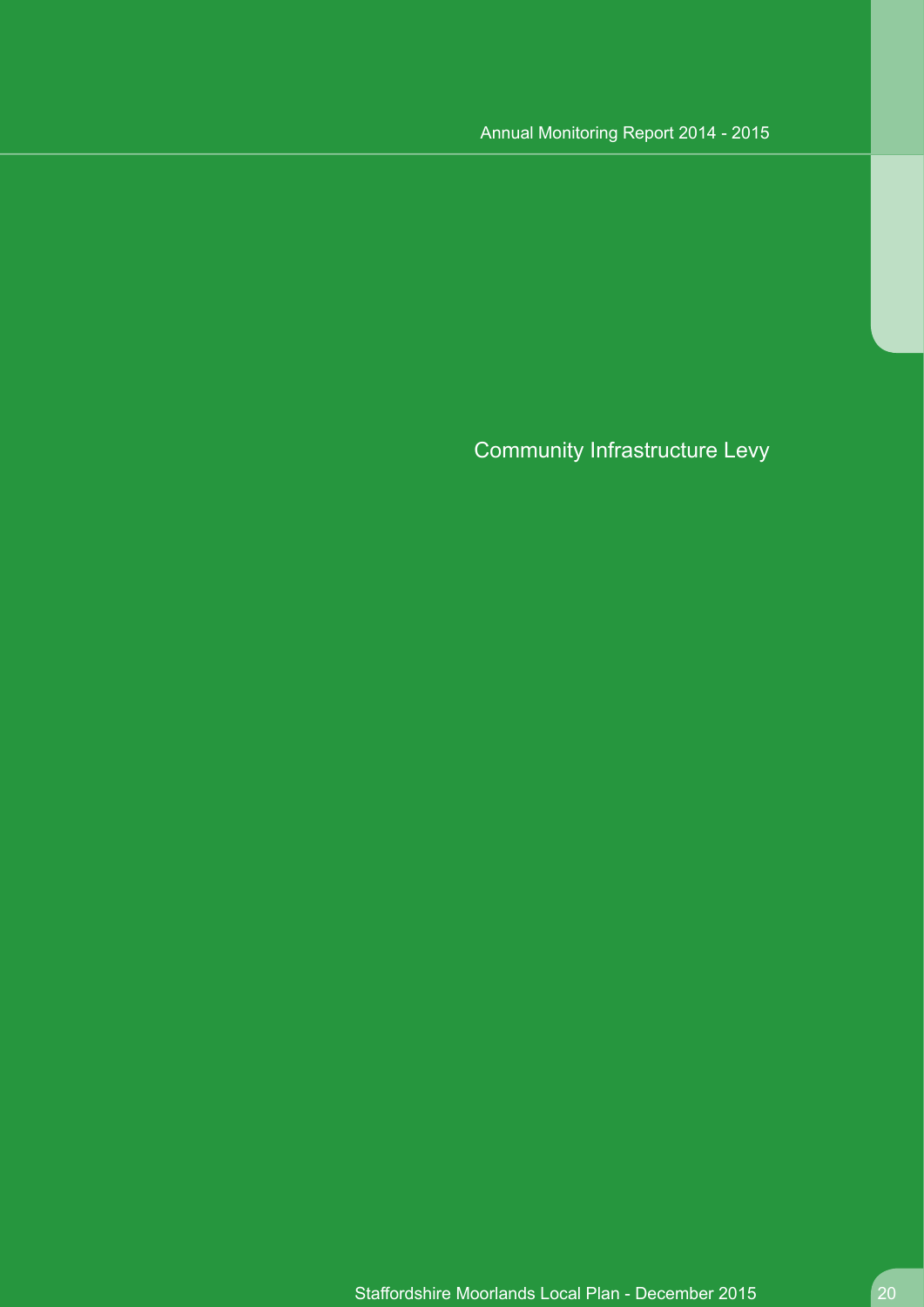# Community Infrastructure Levy